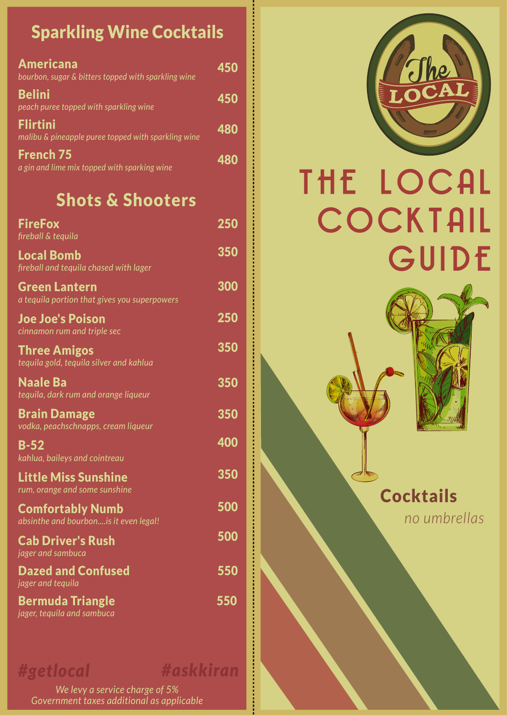## Sparkling Wine Cocktails

| <b>Americana</b><br>bourbon, sugar & bitters topped with sparkling wine | 450 |
|-------------------------------------------------------------------------|-----|
| <b>Belini</b><br>peach puree topped with sparkling wine                 | 450 |
| <b>Flirtini</b><br>malibu & pineapple puree topped with sparkling wine  | 480 |
| <b>French 75</b><br>a gin and lime mix topped with sparking wine        | 480 |

## Shots & Shooters

| <b>FireFox</b><br>fireball & tequila                                 | 250 |
|----------------------------------------------------------------------|-----|
| <b>Local Bomb</b><br>fireball and tequila chased with lager          | 350 |
| <b>Green Lantern</b><br>a tequila portion that gives you superpowers | 300 |
| <b>Joe Joe's Poison</b><br>cinnamon rum and triple sec               | 250 |
| <b>Three Amigos</b><br>tequila gold, tequila silver and kahlua       | 350 |
| <b>Naale Ba</b><br>tequila, dark rum and orange liqueur              | 350 |
| <b>Brain Damage</b><br>vodka, peachschnapps, cream liqueur           | 350 |
| <b>B-52</b><br>kahlua, baileys and cointreau                         | 400 |
| <b>Little Miss Sunshine</b><br>rum, orange and some sunshine         | 350 |
| <b>Comfortably Numb</b><br>absinthe and bourbonis it even legal!     | 500 |
| <b>Cab Driver's Rush</b><br>jager and sambuca                        | 500 |
| <b>Dazed and Confused</b><br>jager and tequila                       | 550 |
| <b>Bermuda Triangle</b><br>jager, tequila and sambuca                | 550 |

*#getlocal #askkiran*

**Property Services** 

医皮肤病 医皮肤病 医皮肤病 医皮肤病

*We levy a service charge of 5% Government taxes additional as applicable*



# THE LOCAL COCKTAIL GUIDE